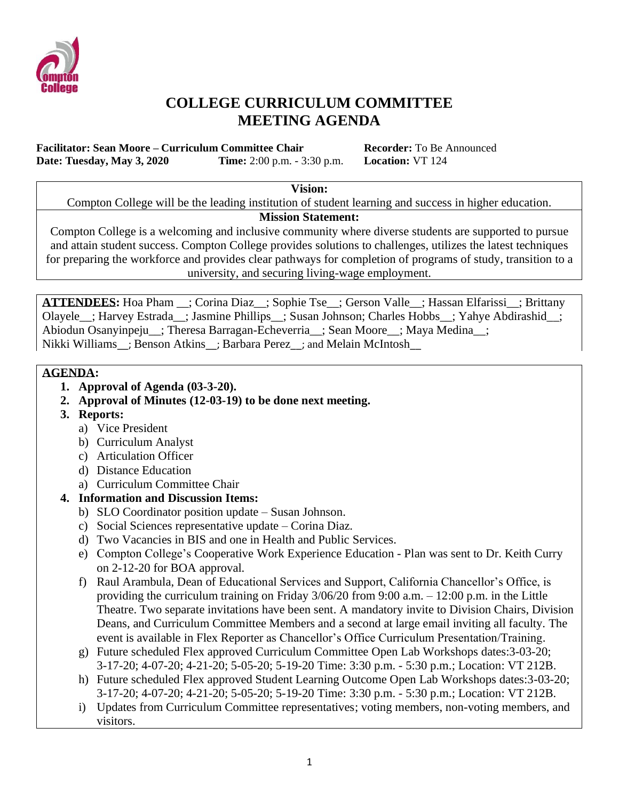

### **COLLEGE CURRICULUM COMMITTEE MEETING AGENDA**

**Facilitator: Sean Moore – Curriculum Committee Chair Recorder:** To Be Announced **Date: Tuesday, May 3, 2020 Time:** 2:00 p.m. - 3:30 p.m. **Location:** VT 124

**Vision:**

Compton College will be the leading institution of student learning and success in higher education.

**Mission Statement:**

Compton College is a welcoming and inclusive community where diverse students are supported to pursue and attain student success. Compton College provides solutions to challenges, utilizes the latest techniques for preparing the workforce and provides clear pathways for completion of programs of study, transition to a university, and securing living-wage employment.

**ATTENDEES:** Hoa Pham \_\_; Corina Diaz\_\_; Sophie Tse\_\_; Gerson Valle\_\_; Hassan Elfarissi\_\_; Brittany Olayele\_\_; Harvey Estrada\_\_; Jasmine Phillips\_\_; Susan Johnson; Charles Hobbs\_\_; Yahye Abdirashid\_\_; Abiodun Osanyinpeju\_\_; Theresa Barragan-Echeverria\_\_; Sean Moore\_\_; Maya Medina\_\_; Nikki Williams ; Benson Atkins ; Barbara Perez ; and Melain McIntosh

#### **AGENDA:**

- **1. Approval of Agenda (03-3-20).**
- **2. Approval of Minutes (12-03-19) to be done next meeting.**
- **3. Reports:**
	- a) Vice President
	- b) Curriculum Analyst
	- c) Articulation Officer
	- d) Distance Education
	- a) Curriculum Committee Chair

### **4. Information and Discussion Items:**

- b) SLO Coordinator position update Susan Johnson.
- c) Social Sciences representative update Corina Diaz.
- d) Two Vacancies in BIS and one in Health and Public Services.
- e) Compton College's Cooperative Work Experience Education Plan was sent to Dr. Keith Curry on 2-12-20 for BOA approval.
- f) Raul Arambula, Dean of Educational Services and Support, California Chancellor's Office, is providing the curriculum training on Friday 3/06/20 from 9:00 a.m. – 12:00 p.m. in the Little Theatre. Two separate invitations have been sent. A mandatory invite to Division Chairs, Division Deans, and Curriculum Committee Members and a second at large email inviting all faculty. The event is available in Flex Reporter as Chancellor's Office Curriculum Presentation/Training.
- g) Future scheduled Flex approved Curriculum Committee Open Lab Workshops dates:3-03-20; 3-17-20; 4-07-20; 4-21-20; 5-05-20; 5-19-20 Time: 3:30 p.m. - 5:30 p.m.; Location: VT 212B.
- h) Future scheduled Flex approved Student Learning Outcome Open Lab Workshops dates:3-03-20; 3-17-20; 4-07-20; 4-21-20; 5-05-20; 5-19-20 Time: 3:30 p.m. - 5:30 p.m.; Location: VT 212B.
- i) Updates from Curriculum Committee representatives; voting members, non-voting members, and visitors.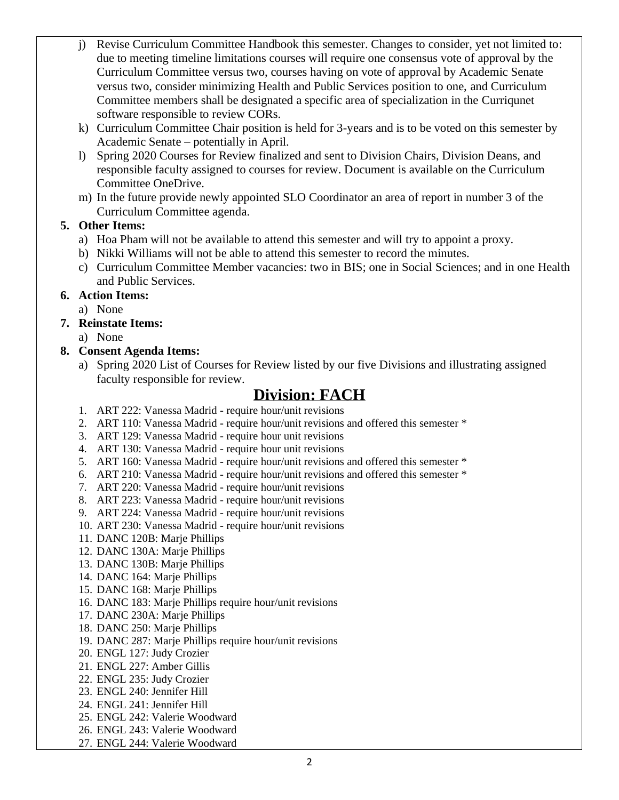- j) Revise Curriculum Committee Handbook this semester. Changes to consider, yet not limited to: due to meeting timeline limitations courses will require one consensus vote of approval by the Curriculum Committee versus two, courses having on vote of approval by Academic Senate versus two, consider minimizing Health and Public Services position to one, and Curriculum Committee members shall be designated a specific area of specialization in the Curriqunet software responsible to review CORs.
- k) Curriculum Committee Chair position is held for 3-years and is to be voted on this semester by Academic Senate – potentially in April.
- l) Spring 2020 Courses for Review finalized and sent to Division Chairs, Division Deans, and responsible faculty assigned to courses for review. Document is available on the Curriculum Committee OneDrive.
- m) In the future provide newly appointed SLO Coordinator an area of report in number 3 of the Curriculum Committee agenda.

### **5. Other Items:**

- a) Hoa Pham will not be available to attend this semester and will try to appoint a proxy.
- b) Nikki Williams will not be able to attend this semester to record the minutes.
- c) Curriculum Committee Member vacancies: two in BIS; one in Social Sciences; and in one Health and Public Services.

### **6. Action Items:**

a) None

### **7. Reinstate Items:**

a) None

#### **8. Consent Agenda Items:**

a) Spring 2020 List of Courses for Review listed by our five Divisions and illustrating assigned faculty responsible for review.

### **Division: FACH**

- 1. ART 222: Vanessa Madrid require hour/unit revisions
- 2. ART 110: Vanessa Madrid require hour/unit revisions and offered this semester \*
- 3. ART 129: Vanessa Madrid require hour unit revisions
- 4. ART 130: Vanessa Madrid require hour unit revisions
- 5. ART 160: Vanessa Madrid require hour/unit revisions and offered this semester \*
- 6. ART 210: Vanessa Madrid require hour/unit revisions and offered this semester \*
- 7. ART 220: Vanessa Madrid require hour/unit revisions
- 8. ART 223: Vanessa Madrid require hour/unit revisions
- 9. ART 224: Vanessa Madrid require hour/unit revisions
- 10. ART 230: Vanessa Madrid require hour/unit revisions
- 11. DANC 120B: Marje Phillips
- 12. DANC 130A: Marje Phillips
- 13. DANC 130B: Marje Phillips
- 14. DANC 164: Marje Phillips
- 15. DANC 168: Marje Phillips
- 16. DANC 183: Marje Phillips require hour/unit revisions
- 17. DANC 230A: Marje Phillips
- 18. DANC 250: Marje Phillips
- 19. DANC 287: Marje Phillips require hour/unit revisions
- 20. ENGL 127: Judy Crozier
- 21. ENGL 227: Amber Gillis
- 22. ENGL 235: Judy Crozier
- 23. ENGL 240: Jennifer Hill
- 24. ENGL 241: Jennifer Hill
- 25. ENGL 242: Valerie Woodward
- 26. ENGL 243: Valerie Woodward
- 27. ENGL 244: Valerie Woodward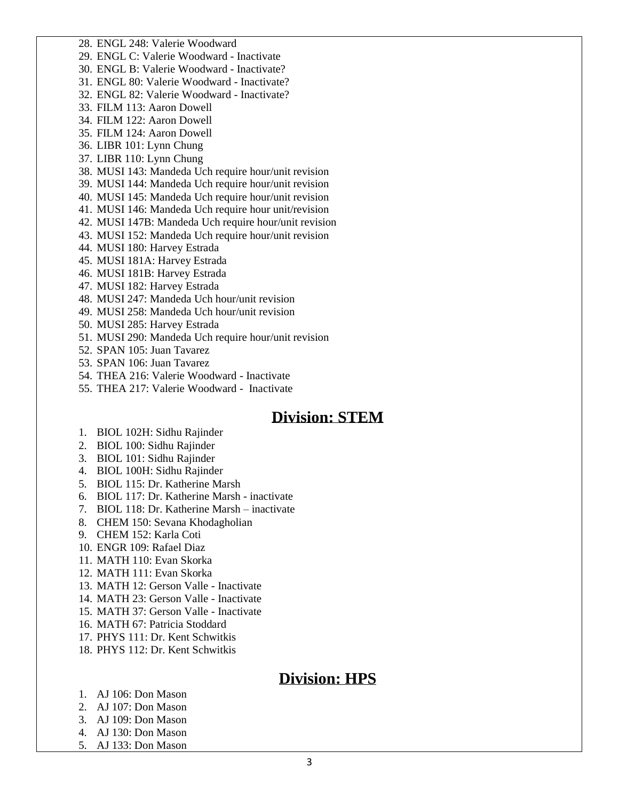28. ENGL 248: Valerie Woodward

29. ENGL C: Valerie Woodward - Inactivate

30. ENGL B: Valerie Woodward - Inactivate?

31. ENGL 80: Valerie Woodward - Inactivate?

32. ENGL 82: Valerie Woodward - Inactivate?

33. FILM 113: Aaron Dowell

34. FILM 122: Aaron Dowell

35. FILM 124: Aaron Dowell

36. LIBR 101: Lynn Chung

37. LIBR 110: Lynn Chung

38. MUSI 143: Mandeda Uch require hour/unit revision

39. MUSI 144: Mandeda Uch require hour/unit revision

40. MUSI 145: Mandeda Uch require hour/unit revision

41. MUSI 146: Mandeda Uch require hour unit/revision

42. MUSI 147B: Mandeda Uch require hour/unit revision

43. MUSI 152: Mandeda Uch require hour/unit revision

44. MUSI 180: Harvey Estrada

45. MUSI 181A: Harvey Estrada

46. MUSI 181B: Harvey Estrada

47. MUSI 182: Harvey Estrada

48. MUSI 247: Mandeda Uch hour/unit revision

49. MUSI 258: Mandeda Uch hour/unit revision

50. MUSI 285: Harvey Estrada

51. MUSI 290: Mandeda Uch require hour/unit revision

52. SPAN 105: Juan Tavarez

53. SPAN 106: Juan Tavarez

54. THEA 216: Valerie Woodward - Inactivate

55. THEA 217: Valerie Woodward - Inactivate

### **Division: STEM**

- 1. BIOL 102H: Sidhu Rajinder
- 2. BIOL 100: Sidhu Rajinder
- 3. BIOL 101: Sidhu Rajinder

4. BIOL 100H: Sidhu Rajinder

5. BIOL 115: Dr. Katherine Marsh

6. BIOL 117: Dr. Katherine Marsh - inactivate

7. BIOL 118: Dr. Katherine Marsh – inactivate

8. CHEM 150: Sevana Khodagholian

9. CHEM 152: Karla Coti

10. ENGR 109: Rafael Diaz

11. MATH 110: Evan Skorka

12. MATH 111: Evan Skorka

13. MATH 12: Gerson Valle - Inactivate

14. MATH 23: Gerson Valle - Inactivate

15. MATH 37: Gerson Valle - Inactivate

16. MATH 67: Patricia Stoddard

17. PHYS 111: Dr. Kent Schwitkis

18. PHYS 112: Dr. Kent Schwitkis

# **Division: HPS**

1. AJ 106: Don Mason

2. AJ 107: Don Mason

3. AJ 109: Don Mason

4. AJ 130: Don Mason

5. AJ 133: Don Mason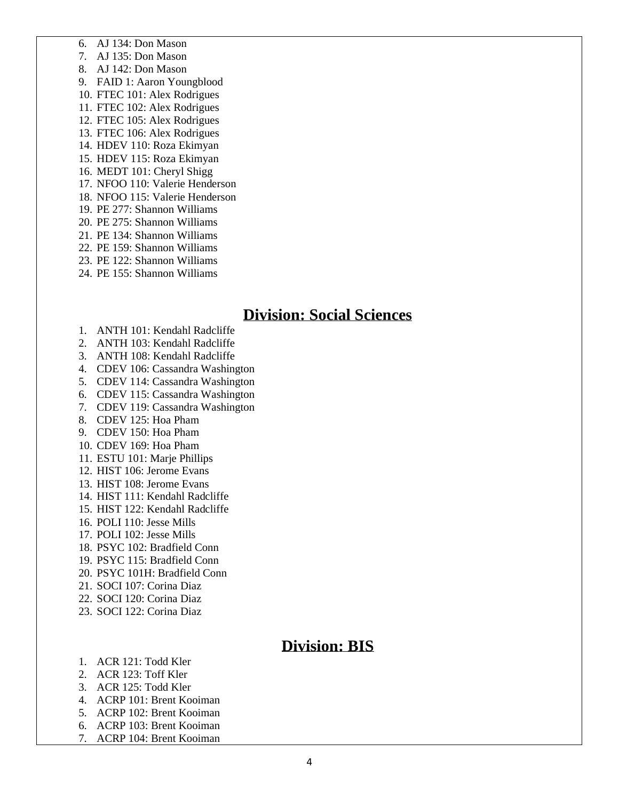6. AJ 134: Don Mason

7. AJ 135: Don Mason

8. AJ 142: Don Mason

9. FAID 1: Aaron Youngblood

10. FTEC 101: Alex Rodrigues

11. FTEC 102: Alex Rodrigues

12. FTEC 105: Alex Rodrigues

13. FTEC 106: Alex Rodrigues

14. HDEV 110: Roza Ekimyan

15. HDEV 115: Roza Ekimyan

16. MEDT 101: Cheryl Shigg

17. NFOO 110: Valerie Henderson

18. NFOO 115: Valerie Henderson

19. PE 277: Shannon Williams

20. PE 275: Shannon Williams

21. PE 134: Shannon Williams

22. PE 159: Shannon Williams

23. PE 122: Shannon Williams

24. PE 155: Shannon Williams

### **Division: Social Sciences**

- 1. ANTH 101: Kendahl Radcliffe
- 2. ANTH 103: Kendahl Radcliffe
- 3. ANTH 108: Kendahl Radcliffe
- 4. CDEV 106: Cassandra Washington
- 5. CDEV 114: Cassandra Washington
- 6. CDEV 115: Cassandra Washington
- 7. CDEV 119: Cassandra Washington
- 8. CDEV 125: Hoa Pham
- 9. CDEV 150: Hoa Pham
- 10. CDEV 169: Hoa Pham
- 11. ESTU 101: Marje Phillips
- 12. HIST 106: Jerome Evans
- 13. HIST 108: Jerome Evans
- 14. HIST 111: Kendahl Radcliffe
- 15. HIST 122: Kendahl Radcliffe
- 16. POLI 110: Jesse Mills
- 17. POLI 102: Jesse Mills
- 18. PSYC 102: Bradfield Conn
- 19. PSYC 115: Bradfield Conn
- 20. PSYC 101H: Bradfield Conn
- 21. SOCI 107: Corina Diaz
- 22. SOCI 120: Corina Diaz
- 23. SOCI 122: Corina Diaz

# **Division: BIS**

- 1. ACR 121: Todd Kler
- 2. ACR 123: Toff Kler
- 3. ACR 125: Todd Kler
- 4. ACRP 101: Brent Kooiman
- 5. ACRP 102: Brent Kooiman
- 6. ACRP 103: Brent Kooiman
- 7. ACRP 104: Brent Kooiman